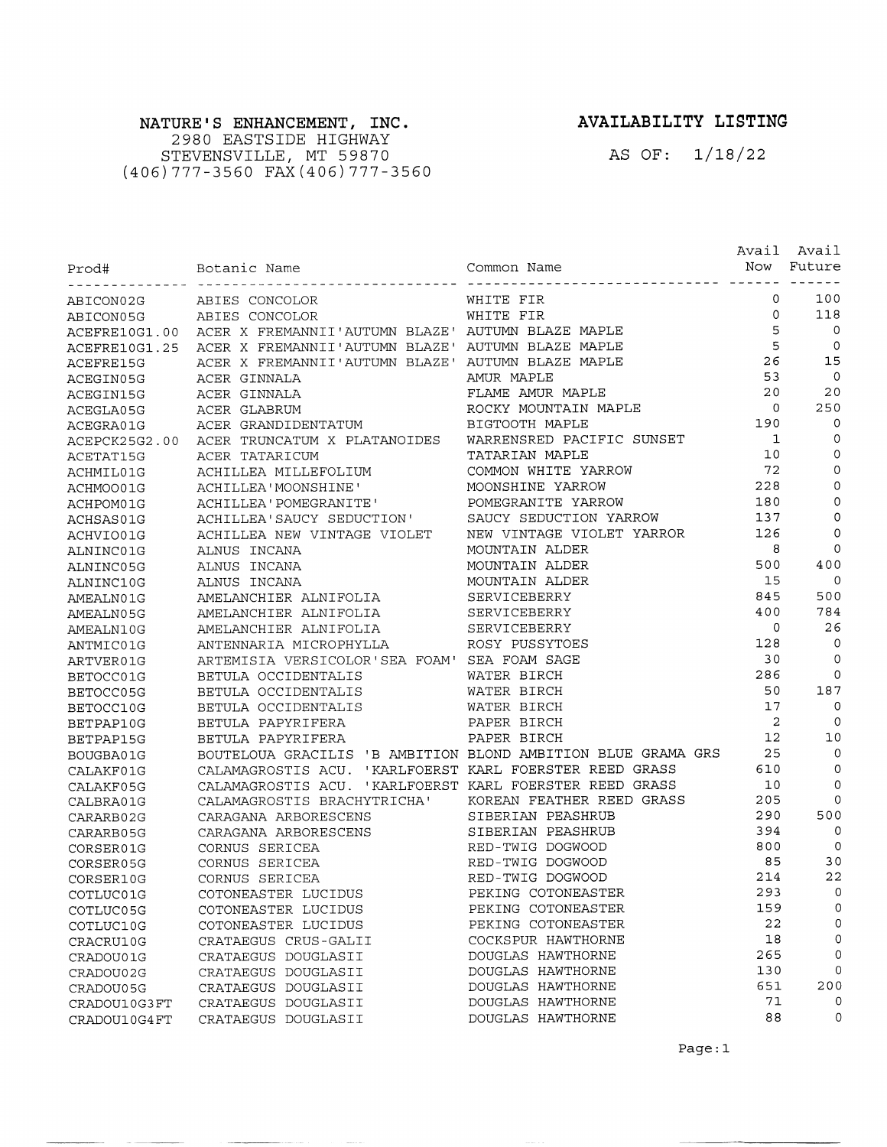## NATURE'S ENHANCEMENT, INC.

2980 EASTSIDE HIGHWAY STEVENSVILLE, MT 59870<br>(406) 777-3560 FAX (406) 777-3560

## AVAILABILITY LISTING

AS OF: 1/18/22

| Prod#         | Botanic Name                                                 | Common Name               | Avail          | Avail<br>Now Future      |
|---------------|--------------------------------------------------------------|---------------------------|----------------|--------------------------|
| ABICON02G     | ABIES CONCOLOR                                               | WHITE FIR                 | 0              | 100                      |
| ABICON05G     | ABIES CONCOLOR                                               | WHITE FIR                 | 0              | 118                      |
| ACEFRE10G1.00 | ACER X FREMANNII'AUTUMN BLAZE' AUTUMN BLAZE MAPLE            |                           | 5              | $\circ$                  |
| ACEFRE10G1.25 | ACER X FREMANNII'AUTUMN BLAZE' AUTUMN BLAZE MAPLE            |                           | 5              | $\circ$                  |
| ACEFRE15G     | ACER X FREMANNII'AUTUMN BLAZE' AUTUMN BLAZE MAPLE            |                           | 26             | 15                       |
| ACEGIN05G     | ACER GINNALA                                                 | AMUR MAPLE                | 53             | $\overline{0}$           |
| ACEGIN15G     | ACER GINNALA                                                 | FLAME AMUR MAPLE          | 20             | 20                       |
| ACEGLA05G     | ACER GLABRUM                                                 | ROCKY MOUNTAIN MAPLE      | $\mathbf 0$    | 250                      |
| ACEGRA01G     | ACER GRANDIDENTATUM                                          | BIGTOOTH MAPLE            | 190            | $\mathbf 0$              |
| ACEPCK25G2.00 | ACER TRUNCATUM X PLATANOIDES                                 | WARRENSRED PACIFIC SUNSET | $\mathbf{1}$   | 0                        |
| ACETAT15G     | ACER TATARICUM                                               | TATARIAN MAPLE            | 10             | 0                        |
| ACHMIL01G     | ACHILLEA MILLEFOLIUM                                         | COMMON WHITE YARROW       | 72             | $\mathbf 0$              |
| ACHMOO01G     | ACHILLEA'MOONSHINE'                                          | MOONSHINE YARROW          | 228            | 0                        |
| ACHPOM01G     | ACHILLEA' POMEGRANITE'                                       | POMEGRANITE YARROW        | 180            | 0                        |
| ACHSAS01G     | ACHILLEA'SAUCY SEDUCTION'                                    | SAUCY SEDUCTION YARROW    | 137            | $\circ$                  |
| ACHVIO01G     | ACHILLEA NEW VINTAGE VIOLET                                  | NEW VINTAGE VIOLET YARROR | 126            | 0                        |
| ALNINC01G     | ALNUS INCANA                                                 | MOUNTAIN ALDER            | 8              | $\Omega$                 |
| ALNINC05G     | ALNUS INCANA                                                 | MOUNTAIN ALDER            | 500            | 400                      |
| ALNINC10G     | ALNUS INCANA                                                 | MOUNTAIN ALDER            | 15             | $\mathbf 0$              |
| AMEALN01G     | AMELANCHIER ALNIFOLIA                                        | SERVICEBERRY              | 845            | 500                      |
| AMEALN05G     | AMELANCHIER ALNIFOLIA                                        | SERVICEBERRY              | 400            | 784                      |
| AMEALN10G     | AMELANCHIER ALNIFOLIA                                        | SERVICEBERRY              | 0              | 26                       |
| ANTMIC01G     | ANTENNARIA MICROPHYLLA                                       | ROSY PUSSYTOES            | 128            | 0                        |
| ARTVER01G     | ARTEMISIA VERSICOLOR'SEA FOAM' SEA FOAM SAGE                 |                           | 30             | 0                        |
| BETOCC01G     | BETULA OCCIDENTALIS                                          | WATER BIRCH               | 286            | $\Omega$                 |
| BETOCC05G     | BETULA OCCIDENTALIS                                          | WATER BIRCH               | 50             | 187                      |
| BETOCC10G     | BETULA OCCIDENTALIS                                          | WATER BIRCH               | 17             | 0                        |
| BETPAP10G     | BETULA PAPYRIFERA                                            | PAPER BIRCH               | $\overline{c}$ | $\Omega$                 |
| BETPAP15G     | BETULA PAPYRIFERA                                            | PAPER BIRCH               | 12             | 10                       |
| BOUGBA01G     | BOUTELOUA GRACILIS 'B AMBITION BLOND AMBITION BLUE GRAMA GRS |                           | 25             | $\mathbf 0$              |
| CALAKF01G     | CALAMAGROSTIS ACU. 'KARLFOERST KARL FOERSTER REED GRASS      |                           | 610            | 0                        |
| CALAKF05G     | CALAMAGROSTIS ACU. 'KARLFOERST KARL FOERSTER REED GRASS      |                           | 10             | 0                        |
| CALBRA01G     | CALAMAGROSTIS BRACHYTRICHA'                                  | KOREAN FEATHER REED GRASS | 205            | 0                        |
| CARARB02G     | CARAGANA ARBORESCENS                                         | SIBERIAN PEASHRUB         | 290            | 500                      |
| CARARB05G     | CARAGANA ARBORESCENS                                         | SIBERIAN PEASHRUB         | 394            | $\overline{0}$           |
| CORSER01G     | CORNUS SERICEA                                               | RED-TWIG DOGWOOD          | 800            | $\circ$                  |
| CORSER05G     | CORNUS SERICEA                                               | RED-TWIG DOGWOOD          | 85             | 30                       |
| CORSER10G     | CORNUS SERICEA                                               | RED-TWIG DOGWOOD          | 214            | 22                       |
| COTLUC01G     | COTONEASTER LUCIDUS                                          | PEKING COTONEASTER        | 293            | $\overline{\phantom{0}}$ |
| COTLUC05G     | COTONEASTER LUCIDUS                                          | PEKING COTONEASTER        | 159            | 0                        |
| COTLUC10G     | COTONEASTER LUCIDUS                                          | PEKING COTONEASTER        | 22             | 0                        |
| CRACRU10G     | CRATAEGUS CRUS-GALII                                         | COCKSPUR HAWTHORNE        | 18             | 0                        |
| CRADOU01G     | CRATAEGUS DOUGLASII                                          | DOUGLAS HAWTHORNE         | 265            | 0                        |
| CRADOU02G     | CRATAEGUS DOUGLASII                                          | DOUGLAS HAWTHORNE         | 130            | 0                        |
| CRADOU05G     | CRATAEGUS DOUGLASII                                          | DOUGLAS HAWTHORNE         | 651            | 200                      |
| CRADOU10G3FT  | CRATAEGUS DOUGLASII                                          | DOUGLAS HAWTHORNE         | 71             | 0                        |
| CRADOU10G4FT  | CRATAEGUS DOUGLASII                                          | DOUGLAS HAWTHORNE         | 88             | 0                        |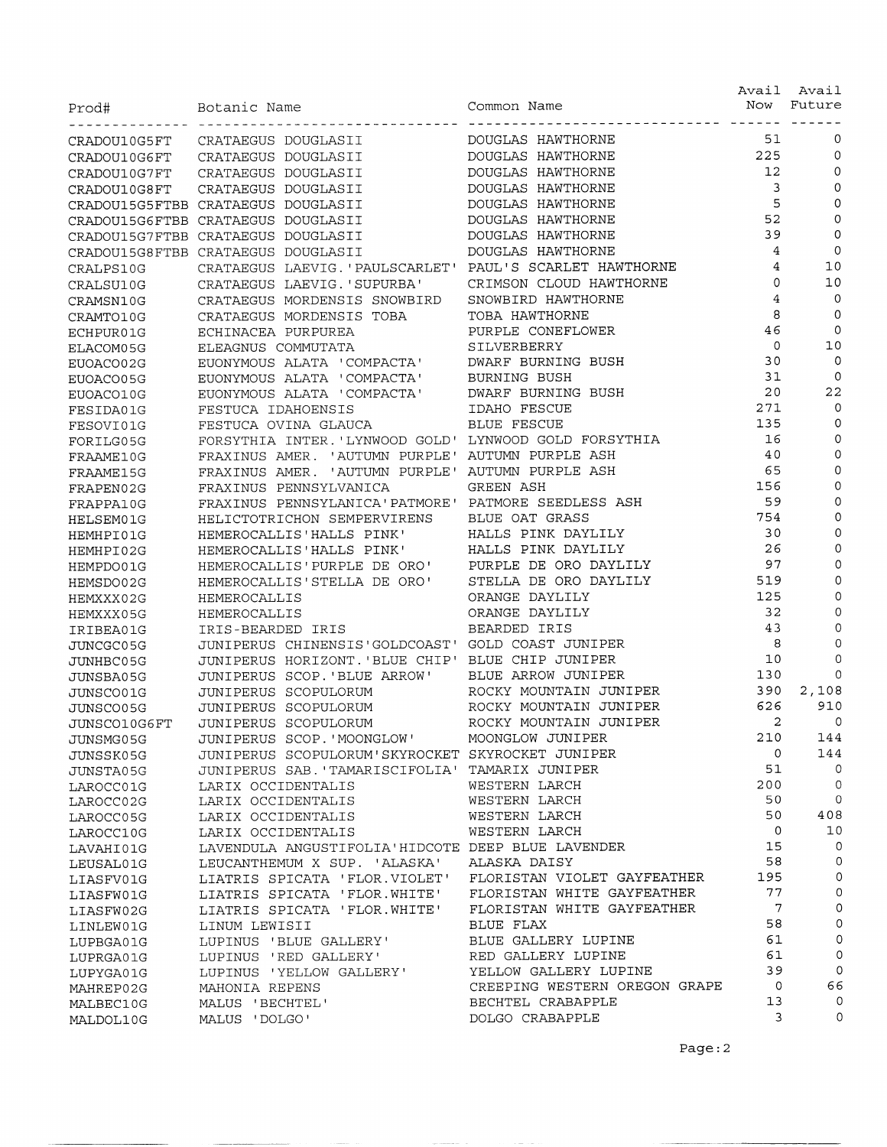| Prod#                  | Botanic Name                                           | Common Name                       | Avail<br>Now   | Avail<br>Future |
|------------------------|--------------------------------------------------------|-----------------------------------|----------------|-----------------|
| CRADOU10G5FT           | CRATAEGUS DOUGLASII                                    | DOUGLAS HAWTHORNE                 | 51             | 0               |
| CRADOU10G6FT           | CRATAEGUS DOUGLASII                                    | DOUGLAS HAWTHORNE                 | 225            | 0               |
| CRADOU10G7FT           | CRATAEGUS DOUGLASII                                    | DOUGLAS HAWTHORNE                 | 12             | $\mathbf 0$     |
| CRADOU10G8FT           | CRATAEGUS DOUGLASII                                    | DOUGLAS HAWTHORNE                 | 3              | $\mathbf 0$     |
|                        | CRADOU15G5FTBB CRATAEGUS DOUGLASII                     | DOUGLAS HAWTHORNE                 | 5              | $\mathbf 0$     |
|                        | CRADOU15G6FTBB CRATAEGUS DOUGLASII                     | DOUGLAS HAWTHORNE                 | 52             | $\mathbf 0$     |
|                        | CRADOU15G7FTBB CRATAEGUS DOUGLASII                     | DOUGLAS HAWTHORNE                 | 39             | $\circ$         |
|                        | CRADOU15G8FTBB CRATAEGUS DOUGLASII                     | DOUGLAS HAWTHORNE                 | 4              | 0               |
| CRALPS10G              | CRATAEGUS LAEVIG. 'PAULSCARLET'                        | PAUL'S SCARLET HAWTHORNE          | 4              | 10              |
| CRALSU10G              | CRATAEGUS LAEVIG. 'SUPURBA'                            | CRIMSON CLOUD HAWTHORNE           | $\Omega$       | 10              |
| CRAMSN10G              | CRATAEGUS MORDENSIS SNOWBIRD                           | SNOWBIRD HAWTHORNE                | 4              | $\mathbf 0$     |
|                        | CRATAEGUS MORDENSIS TOBA                               | TOBA HAWTHORNE                    | 8              | $\mathbf 0$     |
| CRAMTO10G              | ECHINACEA PURPUREA                                     | PURPLE CONEFLOWER                 | 46             | $\circ$         |
| ECHPUR01G              | ELEAGNUS COMMUTATA                                     | SILVERBERRY                       | 0              | 10              |
| ELACOM05G              | EUONYMOUS ALATA 'COMPACTA'                             | DWARF BURNING BUSH                | 30             | $\circ$         |
| EUOACO02G              | EUONYMOUS ALATA 'COMPACTA'                             | <b>BURNING BUSH</b>               | 31             | 0               |
| EUOACO05G<br>EUOACO10G | EUONYMOUS ALATA 'COMPACTA'                             | DWARF BURNING BUSH                | 20             | 22              |
| FESIDA01G              | FESTUCA IDAHOENSIS                                     | IDAHO FESCUE                      | 271            | $\circ$         |
|                        | FESTUCA OVINA GLAUCA                                   | BLUE FESCUE                       | 135            | $\mathbf 0$     |
| FESOVI01G<br>FORILG05G | FORSYTHIA INTER. 'LYNWOOD GOLD' LYNWOOD GOLD FORSYTHIA |                                   | 16             | $\circ$         |
| FRAAME10G              | FRAXINUS AMER.<br>'AUTUMN PURPLE'                      | AUTUMN PURPLE ASH                 | 40             | $\mathbf 0$     |
| FRAAME15G              | FRAXINUS AMER.                                         | 'AUTUMN PURPLE' AUTUMN PURPLE ASH | 65             | $\mathbf 0$     |
| FRAPEN02G              | FRAXINUS PENNSYLVANICA                                 | <b>GREEN ASH</b>                  | 156            | $\mathbf 0$     |
| FRAPPA10G              | FRAXINUS PENNSYLANICA'PATMORE' PATMORE SEEDLESS ASH    |                                   | 59             | 0               |
| HELSEM01G              | HELICTOTRICHON SEMPERVIRENS                            | BLUE OAT GRASS                    | 754            | $\mathbf 0$     |
| HEMHPI01G              | HEMEROCALLIS'HALLS PINK'                               | HALLS PINK DAYLILY                | 30             | $\mathbf 0$     |
| HEMHPI02G              | HEMEROCALLIS'HALLS PINK'                               | HALLS PINK DAYLILY                | 26             | $\mathbf 0$     |
| HEMPDO01G              | HEMEROCALLIS' PURPLE DE ORO'                           | PURPLE DE ORO DAYLILY             | 97             | 0               |
| HEMSDO02G              | HEMEROCALLIS'STELLA DE ORO'                            | STELLA DE ORO DAYLILY             | 519            | 0               |
| HEMXXX02G              | HEMEROCALLIS                                           | ORANGE DAYLILY                    | 125            | 0               |
| HEMXXX05G              | HEMEROCALLIS                                           | ORANGE DAYLILY                    | 32             | $\mathbf 0$     |
| IRIBEA01G              | IRIS-BEARDED IRIS                                      | BEARDED IRIS                      | 43             | $\circ$         |
| JUNCGC05G              | JUNIPERUS CHINENSIS'GOLDCOAST' GOLD COAST JUNIPER      |                                   | 8              | 0               |
| JUNHBC05G              | JUNIPERUS HORIZONT. 'BLUE CHIP'                        | BLUE CHIP JUNIPER                 | 10             | 0               |
| JUNSBA05G              | JUNIPERUS SCOP. 'BLUE ARROW'                           | BLUE ARROW JUNIPER                | 130            | 0               |
| JUNSCO01G              | JUNIPERUS SCOPULORUM                                   | ROCKY MOUNTAIN JUNIPER            | 390            | 2,108           |
| JUNSCO05G              | JUNIPERUS SCOPULORUM                                   | ROCKY MOUNTAIN JUNIPER            | 626            | 910             |
| JUNSCO10G6FT           | JUNIPERUS SCOPULORUM                                   | ROCKY MOUNTAIN JUNIPER            | $\overline{2}$ | 0               |
| JUNSMG05G              | JUNIPERUS SCOP. 'MOONGLOW'                             | MOONGLOW JUNIPER                  | 210            | 144             |
| JUNSSK05G              | JUNIPERUS SCOPULORUM'SKYROCKET SKYROCKET JUNIPER       |                                   | 0              | 144             |
| JUNSTA05G              | JUNIPERUS SAB. 'TAMARISCIFOLIA'                        | TAMARIX JUNIPER                   | 51             | 0               |
| LAROCC01G              | LARIX OCCIDENTALIS                                     | WESTERN LARCH                     | 200            | 0               |
| LAROCC02G              | LARIX OCCIDENTALIS                                     | WESTERN LARCH                     | 50             | $\mathbf 0$     |
| LAROCC05G              | LARIX OCCIDENTALIS                                     | WESTERN LARCH                     | 50             | 408             |
| LAROCC10G              | LARIX OCCIDENTALIS                                     | WESTERN LARCH                     | 0              | 10              |
| LAVAHI01G              | LAVENDULA ANGUSTIFOLIA'HIDCOTE DEEP BLUE LAVENDER      |                                   | 15             | $\mathbf 0$     |
| LEUSAL01G              | LEUCANTHEMUM X SUP. 'ALASKA'                           | ALASKA DAISY                      | 58             | 0               |
| LIASFV01G              | LIATRIS SPICATA 'FLOR.VIOLET'                          | FLORISTAN VIOLET GAYFEATHER       | 195            | 0               |
| LIASFW01G              | LIATRIS SPICATA 'FLOR. WHITE'                          | FLORISTAN WHITE GAYFEATHER        | 77             | 0               |
| LIASFW02G              | LIATRIS SPICATA 'FLOR. WHITE'                          | FLORISTAN WHITE GAYFEATHER        | $\overline{7}$ | 0               |
| LINLEW01G              | LINUM LEWISII                                          | BLUE FLAX                         | 58             | 0               |
| LUPBGA01G              | LUPINUS 'BLUE GALLERY'                                 | BLUE GALLERY LUPINE               | 61             | 0               |
| LUPRGA01G              | LUPINUS 'RED GALLERY'                                  | RED GALLERY LUPINE                | 61             | 0               |
| LUPYGA01G              | LUPINUS 'YELLOW GALLERY'                               | YELLOW GALLERY LUPINE             | 39             | $\circ$         |
| MAHREP02G              | MAHONIA REPENS                                         | CREEPING WESTERN OREGON GRAPE     | $\circ$        | 66              |
| MALBEC10G              | MALUS 'BECHTEL'                                        | BECHTEL CRABAPPLE                 | 13             | 0               |
| MALDOL10G              | MALUS 'DOLGO'                                          | DOLGO CRABAPPLE                   | 3              | 0               |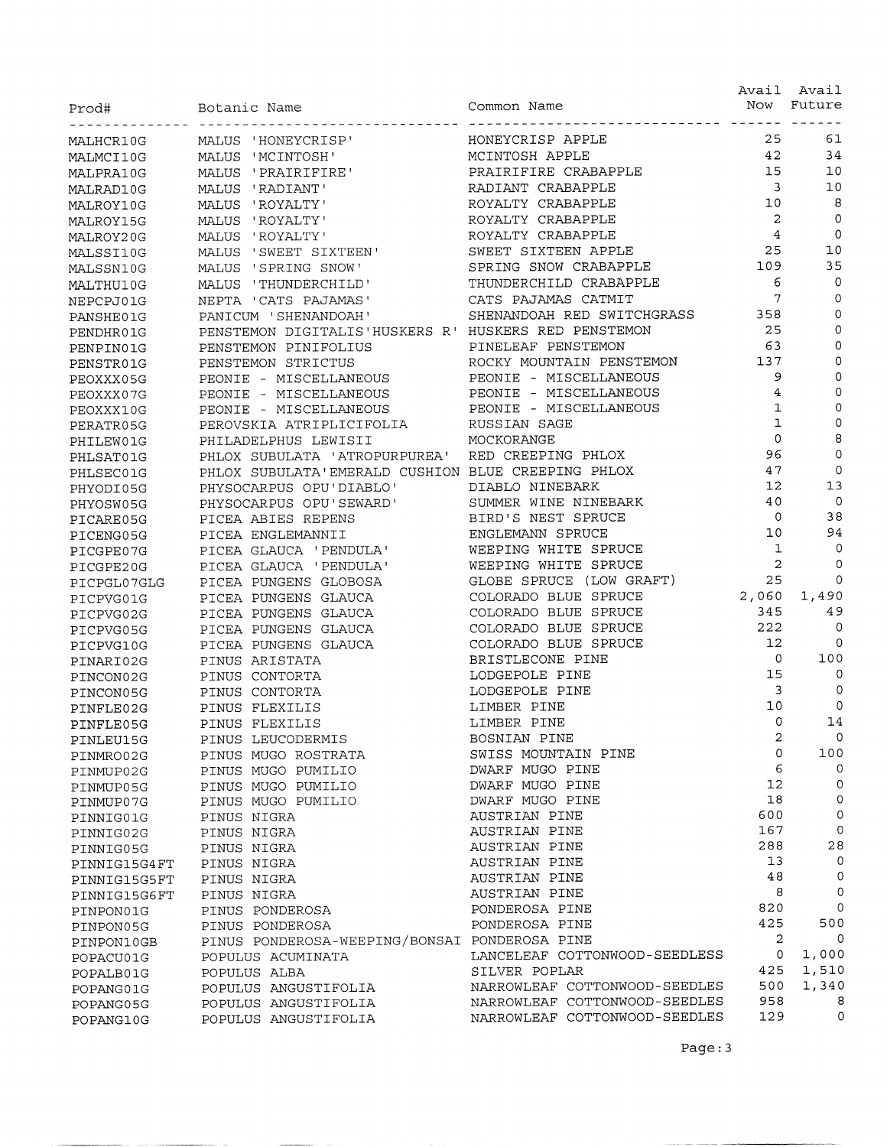| Prod#        | Botanic Name                                         | Common Name                   |                | Avail Avail<br>Now Future |
|--------------|------------------------------------------------------|-------------------------------|----------------|---------------------------|
|              |                                                      |                               |                |                           |
| MALHCR10G    | MALUS 'HONEYCRISP'                                   | HONEYCRISP APPLE              | 25             | 61                        |
| MALMCI10G    | MALUS 'MCINTOSH'                                     | MCINTOSH APPLE                | 42             | 34                        |
| MALPRA10G    | MALUS 'PRAIRIFIRE'                                   | PRAIRIFIRE CRABAPPLE          | 15             | 10                        |
| MALRAD10G    | MALUS 'RADIANT'                                      | RADIANT CRABAPPLE             | 3              | 10                        |
| MALROY10G    | MALUS 'ROYALTY'                                      | ROYALTY CRABAPPLE             | 10             | 8                         |
| MALROY15G    | MALUS 'ROYALTY'                                      | ROYALTY CRABAPPLE             | 2              | 0                         |
| MALROY20G    | MALUS 'ROYALTY'                                      | ROYALTY CRABAPPLE             | $\overline{4}$ | 0                         |
| MALSSI10G    | MALUS 'SWEET SIXTEEN'                                | SWEET SIXTEEN APPLE           | 25             | 10                        |
| MALSSN10G    | MALUS 'SPRING SNOW'                                  | SPRING SNOW CRABAPPLE         | 109            | 35                        |
| MALTHU10G    | MALUS 'THUNDERCHILD'                                 | THUNDERCHILD CRABAPPLE        | 6              | 0                         |
| NEPCPJ01G    | NEPTA 'CATS PAJAMAS'                                 | CATS PAJAMAS CATMIT           | 7              | 0                         |
| PANSHE01G    | PANICUM 'SHENANDOAH'                                 | SHENANDOAH RED SWITCHGRASS    | 358            | 0                         |
| PENDHR01G    | PENSTEMON DIGITALIS'HUSKERS R' HUSKERS RED PENSTEMON |                               | 25             | 0                         |
| PENPIN01G    | PENSTEMON PINIFOLIUS                                 | PINELEAF PENSTEMON            | 63             | $\mathsf{O}\xspace$       |
| PENSTR01G    | PENSTEMON STRICTUS                                   | ROCKY MOUNTAIN PENSTEMON      | 137            | $\mathbf 0$               |
| PEOXXX05G    | PEONIE - MISCELLANEOUS                               | PEONIE - MISCELLANEOUS        | 9              | $\circ$                   |
| PEOXXX07G    | PEONIE - MISCELLANEOUS                               | PEONIE - MISCELLANEOUS        | 4              | $\circ$                   |
| PEOXXX10G    | PEONIE - MISCELLANEOUS                               | PEONIE - MISCELLANEOUS        | 1              | 0                         |
| PERATR05G    | PEROVSKIA ATRIPLICIFOLIA                             | RUSSIAN SAGE                  | $\mathbf 1$    | $\circ$                   |
| PHILEW01G    | PHILADELPHUS LEWISII                                 | MOCKORANGE                    | $\mathbf 0$    | 8                         |
| PHLSAT01G    | PHLOX SUBULATA 'ATROPURPUREA'                        | RED CREEPING PHLOX            | 96             | $\mathbf 0$               |
| PHLSEC01G    | PHLOX SUBULATA'EMERALD CUSHION BLUE CREEPING PHLOX   |                               | 47             | 0                         |
| PHYODI05G    | PHYSOCARPUS OPU'DIABLO'                              | DIABLO NINEBARK               | 12             | 13                        |
| PHYOSW05G    | PHYSOCARPUS OPU'SEWARD'                              | SUMMER WINE NINEBARK          | 40             | $\overline{0}$            |
| PICARE05G    | PICEA ABIES REPENS                                   | BIRD'S NEST SPRUCE            | 0              | 38                        |
| PICENG05G    | PICEA ENGLEMANNII                                    | ENGLEMANN SPRUCE              | 10             | 94                        |
| PICGPE07G    | PICEA GLAUCA 'PENDULA'                               | WEEPING WHITE SPRUCE          | 1              | 0                         |
| PICGPE20G    | PICEA GLAUCA 'PENDULA'                               | WEEPING WHITE SPRUCE          | $\mathbf{2}$   | 0                         |
| PICPGL07GLG  | PICEA PUNGENS GLOBOSA                                | GLOBE SPRUCE (LOW GRAFT)      | 25             | $\Omega$                  |
| PICPVG01G    | PICEA PUNGENS GLAUCA                                 | COLORADO BLUE SPRUCE          | 2,060          | 1,490                     |
| PICPVG02G    | PICEA PUNGENS GLAUCA                                 | COLORADO BLUE SPRUCE          | 345            | 49                        |
| PICPVG05G    | PICEA PUNGENS GLAUCA                                 | COLORADO BLUE SPRUCE          | 222            | $\mathbf 0$               |
| PICPVG10G    | PICEA PUNGENS GLAUCA                                 | COLORADO BLUE SPRUCE          | 12             | $\mathbf 0$               |
| PINARI02G    | PINUS ARISTATA                                       | BRISTLECONE PINE              | 0              | 100                       |
| PINCON02G    | PINUS CONTORTA                                       | LODGEPOLE PINE                | 15             | 0                         |
| PINCON05G    | PINUS CONTORTA                                       | LODGEPOLE PINE                | 3              | $\circ$                   |
| PINFLE02G    | PINUS FLEXILIS                                       | LIMBER PINE                   | 10             | $\Omega$                  |
| PINFLE05G    | PINUS FLEXILIS                                       | LIMBER PINE                   | 0              | 14                        |
| PINLEU15G    | PINUS LEUCODERMIS                                    | BOSNIAN PINE                  | 2              | 0                         |
| PINMRO02G    | PINUS MUGO ROSTRATA                                  | SWISS MOUNTAIN PINE           | 0              | 100                       |
| PINMUP02G    | PINUS MUGO PUMILIO                                   | DWARF MUGO PINE               | 6              | 0                         |
| PINMUP05G    | PINUS MUGO PUMILIO                                   | DWARF MUGO PINE               | 12             | 0                         |
| PINMUP07G    | PINUS MUGO PUMILIO                                   | DWARF MUGO PINE               | 18             | $\mathbf 0$               |
| PINNIG01G    | PINUS NIGRA                                          | AUSTRIAN PINE                 | 600            | 0                         |
| PINNIG02G    | PINUS NIGRA                                          | AUSTRIAN PINE                 | 167            | $\circ$                   |
| PINNIG05G    | PINUS NIGRA                                          | AUSTRIAN PINE                 | 288            | 28                        |
| PINNIG15G4FT | PINUS NIGRA                                          | AUSTRIAN PINE                 | 13             | 0                         |
| PINNIG15G5FT | PINUS NIGRA                                          | AUSTRIAN PINE                 | 48             | 0                         |
| PINNIG15G6FT | PINUS NIGRA                                          | AUSTRIAN PINE                 | 8              | 0                         |
| PINPON01G    | PINUS PONDEROSA                                      | PONDEROSA PINE                | 820            | 0                         |
| PINPON05G    | PINUS PONDEROSA                                      | PONDEROSA PINE                | 425            | 500                       |
| PINPON10GB   | PINUS PONDEROSA-WEEPING/BONSAI PONDEROSA PINE        |                               | 2              | 0                         |
| POPACU01G    | POPULUS ACUMINATA                                    | LANCELEAF COTTONWOOD-SEEDLESS | 0              | 1,000                     |
| POPALB01G    | POPULUS ALBA                                         | SILVER POPLAR                 | 425            | 1,510                     |
| POPANG01G    | POPULUS ANGUSTIFOLIA                                 | NARROWLEAF COTTONWOOD-SEEDLES | 500            | 1,340                     |
| POPANG05G    | POPULUS ANGUSTIFOLIA                                 | NARROWLEAF COTTONWOOD-SEEDLES | 958            | 8                         |
| POPANG10G    | POPULUS ANGUSTIFOLIA                                 | NARROWLEAF COTTONWOOD-SEEDLES | 129            | 0                         |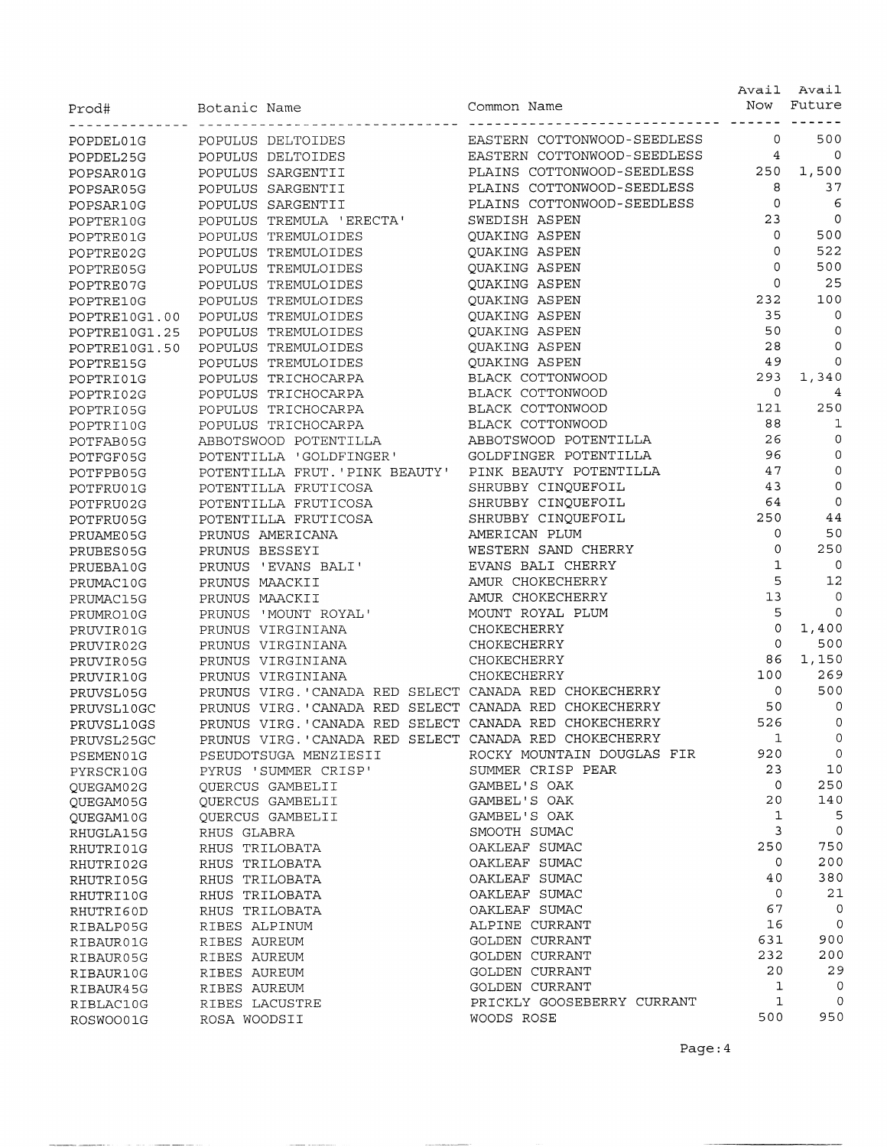| Prod#                  | Botanic Name                                           | Common Name                                  | Avail<br>Now | Avail<br>Future |
|------------------------|--------------------------------------------------------|----------------------------------------------|--------------|-----------------|
| POPDEL01G              | POPULUS DELTOIDES                                      | EASTERN COTTONWOOD-SEEDLESS                  | 0            | 500             |
| POPDEL25G              | POPULUS DELTOIDES                                      | EASTERN COTTONWOOD-SEEDLESS                  | 4            | $\circ$         |
| POPSAR01G              | POPULUS SARGENTII                                      | PLAINS COTTONWOOD-SEEDLESS                   | 250          | 1,500           |
| POPSAR05G              | POPULUS SARGENTII                                      | PLAINS COTTONWOOD-SEEDLESS                   | 8            | 37              |
| POPSAR10G              | POPULUS SARGENTII                                      | PLAINS COTTONWOOD-SEEDLESS                   | $\mathbf 0$  | 6               |
| POPTER10G              | POPULUS TREMULA 'ERECTA'                               | SWEDISH ASPEN                                | 23           | $\circ$         |
| POPTRE01G              | POPULUS TREMULOIDES                                    | QUAKING ASPEN                                | $\mathbf{O}$ | 500             |
| POPTRE02G              | POPULUS TREMULOIDES                                    | QUAKING ASPEN                                | 0            | 522             |
| POPTRE05G              | POPULUS TREMULOIDES                                    | QUAKING ASPEN                                | $\Omega$     | 500             |
| POPTRE07G              | POPULUS TREMULOIDES                                    | QUAKING ASPEN                                | 0            | 25              |
| POPTRE10G              | POPULUS TREMULOIDES                                    | <b>QUAKING ASPEN</b>                         | 232          | 100             |
| POPTRE10G1.00          | POPULUS TREMULOIDES                                    | QUAKING ASPEN                                | 35           | $\mathbf 0$     |
| POPTRE10G1.25          | POPULUS TREMULOIDES                                    | QUAKING ASPEN                                | 50           | 0               |
| POPTRE10G1.50          | POPULUS TREMULOIDES                                    | QUAKING ASPEN                                | 28           | 0               |
| POPTRE15G              | POPULUS TREMULOIDES                                    | QUAKING ASPEN                                | 49           | $\circ$         |
| POPTRI01G              | POPULUS TRICHOCARPA                                    | BLACK COTTONWOOD                             | 293          | 1,340           |
| POPTRI02G              | POPULUS TRICHOCARPA                                    | BLACK COTTONWOOD                             | 0            | 4               |
| POPTRI05G              | POPULUS TRICHOCARPA                                    | BLACK COTTONWOOD                             | 121          | 250             |
| POPTRI10G              | POPULUS TRICHOCARPA                                    | BLACK COTTONWOOD                             | 88           | 1               |
| POTFAB05G              | ABBOTSWOOD POTENTILLA                                  | ABBOTSWOOD POTENTILLA                        | 26           | 0               |
| POTFGF05G              | POTENTILLA 'GOLDFINGER'                                | GOLDFINGER POTENTILLA                        | 96           | 0               |
| POTFPB05G              | POTENTILLA FRUT. 'PINK BEAUTY'                         | PINK BEAUTY POTENTILLA                       | 47           | 0               |
| POTFRU01G              | POTENTILLA FRUTICOSA                                   | SHRUBBY CINQUEFOIL                           | 43           | 0               |
| POTFRU02G              | POTENTILLA FRUTICOSA                                   | SHRUBBY CINQUEFOIL                           | 64           | $\mathbf 0$     |
| POTFRU05G              | POTENTILLA FRUTICOSA                                   | SHRUBBY CINQUEFOIL                           | 250          | 44<br>50        |
| PRUAME05G              | PRUNUS AMERICANA                                       | AMERICAN PLUM                                | 0<br>0       | 250             |
| PRUBES05G              | PRUNUS BESSEYI                                         | WESTERN SAND CHERRY                          | $\mathbf 1$  | 0               |
| PRUEBA10G              | PRUNUS 'EVANS BALI'                                    | EVANS BALI CHERRY<br>AMUR CHOKECHERRY        | 5            | 12              |
| PRUMAC10G              | PRUNUS MAACKII                                         | AMUR CHOKECHERRY                             | 13           | 0               |
| PRUMAC15G              | PRUNUS MAACKII<br>PRUNUS 'MOUNT ROYAL'                 | MOUNT ROYAL PLUM                             | 5            | 0               |
| PRUMRO10G              | PRUNUS VIRGINIANA                                      | CHOKECHERRY                                  | $\mathbf 0$  | 1,400           |
| PRUVIR01G<br>PRUVIR02G | PRUNUS VIRGINIANA                                      | CHOKECHERRY                                  | $\circ$      | 500             |
| PRUVIR05G              | PRUNUS VIRGINIANA                                      | CHOKECHERRY                                  | 86           | 1,150           |
| PRUVIR10G              | PRUNUS VIRGINIANA                                      | CHOKECHERRY                                  | 100          | 269             |
| PRUVSL05G              | PRUNUS VIRG. 'CANADA RED SELECT CANADA RED CHOKECHERRY |                                              | 0            | 500             |
| PRUVSL10GC             | PRUNUS VIRG. 'CANADA RED SELECT CANADA RED CHOKECHERRY |                                              | 50           | $\circ$         |
| PRUVSL10GS             | PRUNUS VIRG. 'CANADA RED SELECT CANADA RED CHOKECHERRY |                                              | 526          | 0               |
| PRUVSL25GC             | PRUNUS VIRG. 'CANADA RED SELECT CANADA RED CHOKECHERRY |                                              | 1            | 0               |
| PSEMEN01G              | PSEUDOTSUGA MENZIESII                                  | ROCKY MOUNTAIN DOUGLAS FIR                   | 920          | $\mathbf 0$     |
| PYRSCR10G              | PYRUS 'SUMMER CRISP'                                   | SUMMER CRISP PEAR                            | 23           | 10              |
| QUEGAM02G              | OUERCUS GAMBELII                                       | GAMBEL'S OAK                                 | 0            | 250             |
| QUEGAM05G              | QUERCUS GAMBELII                                       | GAMBEL'S OAK                                 | 20           | 140             |
| QUEGAM10G              | QUERCUS GAMBELII                                       | GAMBEL'S OAK                                 | 1            | 5               |
| RHUGLA15G              | RHUS GLABRA                                            | SMOOTH SUMAC                                 | 3            | $\circ$         |
| RHUTRI01G              | RHUS TRILOBATA                                         | OAKLEAF SUMAC                                | 250          | 750             |
| RHUTRI02G              | RHUS TRILOBATA                                         | OAKLEAF SUMAC                                | 0            | 200             |
| RHUTRI05G              | RHUS TRILOBATA                                         | OAKLEAF SUMAC                                | 40           | 380             |
| RHUTRI10G              | RHUS TRILOBATA                                         | OAKLEAF SUMAC                                | 0            | 21              |
| RHUTRI60D              | RHUS TRILOBATA                                         | OAKLEAF SUMAC                                | 67           | 0               |
| RIBALP05G              | RIBES ALPINUM                                          | ALPINE CURRANT                               | 16           | $\circ$         |
| RIBAUR01G              | RIBES AUREUM                                           | GOLDEN CURRANT                               | 631          | 900             |
| RIBAUR05G              | RIBES AUREUM                                           | GOLDEN CURRANT                               | 232          | 200             |
| RIBAUR10G              | RIBES AUREUM                                           | GOLDEN CURRANT                               | 20           | 29<br>0         |
| RIBAUR45G              | RIBES AUREUM                                           | GOLDEN CURRANT<br>PRICKLY GOOSEBERRY CURRANT | 1<br>1       | 0               |
| RIBLAC10G<br>ROSWOO01G | RIBES LACUSTRE<br>ROSA WOODSII                         | WOODS ROSE                                   | 500          | 950             |